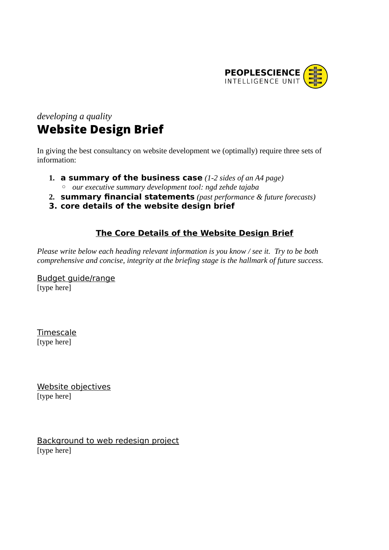

## *developing a quality* **Website Design Brief**

In giving the best consultancy on website development we (optimally) require three sets of information:

- **1. a summary of the business case** *(1-2 sides of an A4 page)* ◦ *our executive summary development tool: ngd zehde tajaba*
- **2. summary financial statements** *(past performance & future forecasts)*
- **3. core details of the website design brief**

## **The Core Details of the Website Design Brief**

*Please write below each heading relevant information is you know / see it. Try to be both comprehensive and concise, integrity at the briefing stage is the hallmark of future success.*

Budget guide/range [type here]

Timescale [type here]

Website objectives [type here]

Background to web redesign project [type here]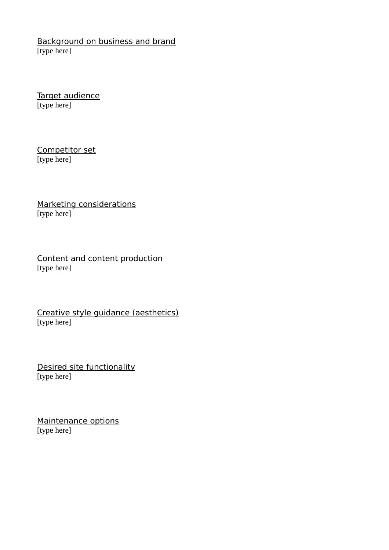Background on business and brand [type here]

Target audience [type here]

Competitor set [type here]

Marketing considerations [type here]

Content and content production [type here]

Creative style guidance (aesthetics) [type here]

Desired site functionality [type here]

Maintenance options [type here]